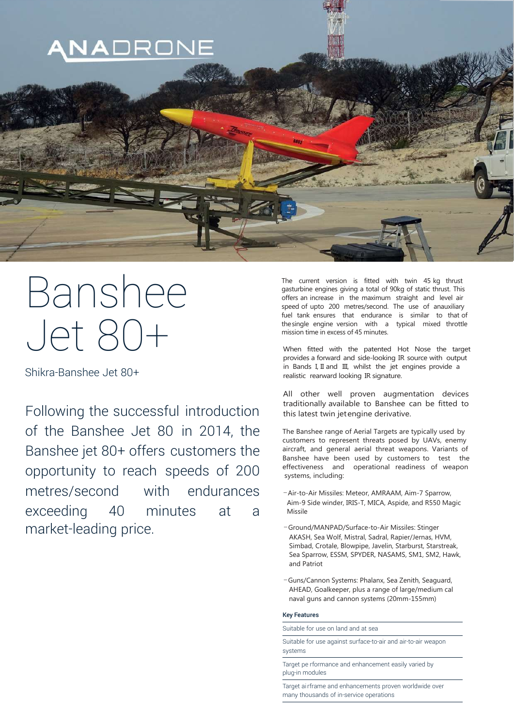

# Banshee Jet 80+

Shikra-Banshee Jet 80+

Following the successful introduction of the Banshee Jet 80 in 2014, the Banshee jet 80+ offers customers the opportunity to reach speeds of 200 metres/second with endurances exceeding 40 minutes at a market-leading price.

The current version is fitted with twin 45 kg thrust gasturbine engines giving a total of 90kg of static thrust. This offers an increase in the maximum straight and level air speed of upto 200 metres/second. The use of anauxiliary fuel tank ensures that endurance is similar to that of thesingle engine version with a typical mixed throttle mission time in excess of 45 minutes.

When fitted with the patented Hot Nose the target provides a forward and side-looking IR source with output in Bands I, II and III, whilst the jet engines provide a realistic rearward looking IR signature.

All other well proven augmentation devices traditionally available to Banshee can be fitted to this latest twin jetengine derivative.

The Banshee range of Aerial Targets are typically used by customers to represent threats posed by UAVs, enemy aircraft, and general aerial threat weapons. Variants of Banshee have been used by customers to test the effectiveness and operational readiness of weapon systems, including:

- –Air-to-Air Missiles: Meteor, AMRAAM, Aim-7 Sparrow, Aim-9 Side winder, IRIS-T, MICA, Aspide, and R550 Magic Missile
- –Ground/MANPAD/Surface-to-Air Missiles: Stinger AKASH, Sea Wolf, Mistral, Sadral, Rapier/Jernas, HVM, Simbad, Crotale, Blowpipe, Javelin, Starburst, Starstreak, Sea Sparrow, ESSM, SPYDER, NASAMS, SM1, SM2, Hawk, and Patriot
- –Guns/Cannon Systems: Phalanx, Sea Zenith, Seaguard, AHEAD, Goalkeeper, plus a range of large/medium cal naval guns and cannon systems (20mm-155mm)

## Key Features

Suitable for use on land and at sea

systems Suitable for use against surface-to-air and air-to-air weapon

Target pe rformance and enhancement easily varied by plug-in modules

Target ai rframe and enhancements proven worldwide over many thousands of in-service operations